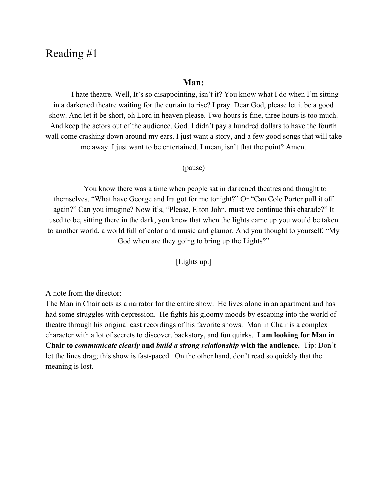# Reading #1

#### **Man:**

I hate theatre. Well, It's so disappointing, isn't it? You know what I do when I'm sitting in a darkened theatre waiting for the curtain to rise? I pray. Dear God, please let it be a good show. And let it be short, oh Lord in heaven please. Two hours is fine, three hours is too much. And keep the actors out of the audience. God. I didn't pay a hundred dollars to have the fourth wall come crashing down around my ears. I just want a story, and a few good songs that will take me away. I just want to be entertained. I mean, isn't that the point? Amen.

#### (pause)

You know there was a time when people sat in darkened theatres and thought to themselves, "What have George and Ira got for me tonight?" Or "Can Cole Porter pull it off again?" Can you imagine? Now it's, "Please, Elton John, must we continue this charade?" It used to be, sitting there in the dark, you knew that when the lights came up you would be taken to another world, a world full of color and music and glamor. And you thought to yourself, "My God when are they going to bring up the Lights?"

[Lights up.]

A note from the director:

The Man in Chair acts as a narrator for the entire show. He lives alone in an apartment and has had some struggles with depression. He fights his gloomy moods by escaping into the world of theatre through his original cast recordings of his favorite shows. Man in Chair is a complex character with a lot of secrets to discover, backstory, and fun quirks. **I am looking for Man in Chair to** *communicate clearly***and** *build a strong relationship***with the audience.**Tip: Don't let the lines drag; this show is fast-paced. On the other hand, don't read so quickly that the meaning is lost.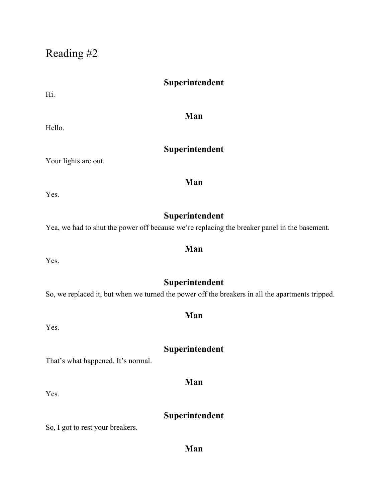Reading #2

# **Superintendent**

Hi.

Hello.

## **Man**

# **Superintendent**

Your lights are out.

Yes.

# **Superintendent**

**Man**

**Man**

Yea, we had to shut the power off because we're replacing the breaker panel in the basement.

Yes.

# **Superintendent**

So, we replaced it, but when we turned the power off the breakers in all the apartments tripped.

Yes.

# **Superintendent**

That's what happened. It's normal.

Yes.

# **Superintendent**

**Man**

So, I got to rest your breakers.

## **Man**

# **Man**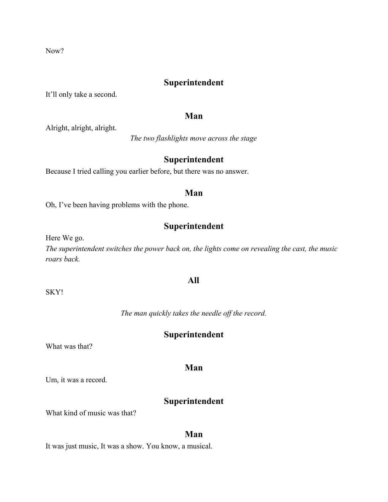Now?

## **Superintendent**

It'll only take a second.

#### **Man**

Alright, alright, alright.

*The two flashlights move across the stage*

# **Superintendent**

Because I tried calling you earlier before, but there was no answer.

#### **Man**

Oh, I've been having problems with the phone.

# **Superintendent**

Here We go.

*The superintendent switches the power back on, the lights come on revealing the cast, the music roars back.*

#### **All**

SKY!

*The man quickly takes the needle of the record.*

## **Superintendent**

What was that?

### **Man**

Um, it was a record.

#### **Superintendent**

What kind of music was that?

#### **Man**

It was just music, It was a show. You know, a musical.